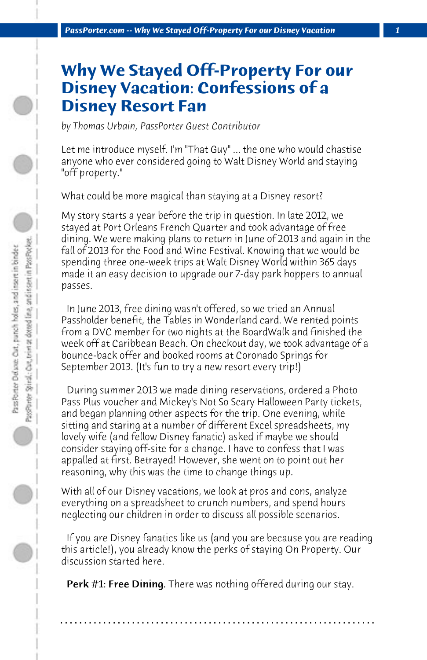## **Why We Stayed Off-Property For our Disney Vacation: Confessions of a Disney Resort Fan**

*by Thomas Urbain, PassPorter Guest Contributor*

Let me introduce myself. I'm "That Guy" ... the one who would chastise anyone who ever considered going to Walt Disney World and staying "off property."

What could be more magical than staying at a Disney resort?

My story starts a year before the trip in question. In late 2012, we stayed at Port Orleans French Quarter and took advantage of free dining. We were making plans to return in June of 2013 and again in the fall of 2013 for the Food and Wine Festival. Knowing that we would be spending three one-week trips at Walt Disney World within 365 days made it an easy decision to upgrade our 7-day park hoppers to annual passes.

 In June 2013, free dining wasn't offered, so we tried an Annual Passholder benefit, the Tables in Wonderland card. We rented points from a DVC member for two nights at the BoardWalk and finished the week off at Caribbean Beach. On checkout day, we took advantage of a bounce-back offer and booked rooms at Coronado Springs for September 2013. (It's fun to try a new resort every trip!)

 During summer 2013 we made dining reservations, ordered a Photo Pass Plus voucher and Mickey's Not So Scary Halloween Party tickets, and began planning other aspects for the trip. One evening, while sitting and staring at a number of different Excel spreadsheets, my lovely wife (and fellow Disney fanatic) asked if maybe we should consider staying off-site for a change. I have to confess that I was appalled at first. Betrayed! However, she went on to point out her reasoning, why this was the time to change things up.

With all of our Disney vacations, we look at pros and cons, analyze everything on a spreadsheet to crunch numbers, and spend hours neglecting our children in order to discuss all possible scenarios.

 If you are Disney fanatics like us (and you are because you are reading this article!), you already know the perks of staying On Property. Our discussion started here.

 Perk #1: Free Dining. There was nothing offered during our stay.

**. . . . . . . . . . . . . . . . . . . . . . . . . . . . . . . . . . . . . . . . . . . . . . . . . . . . . . . . . . . . . . . . . .**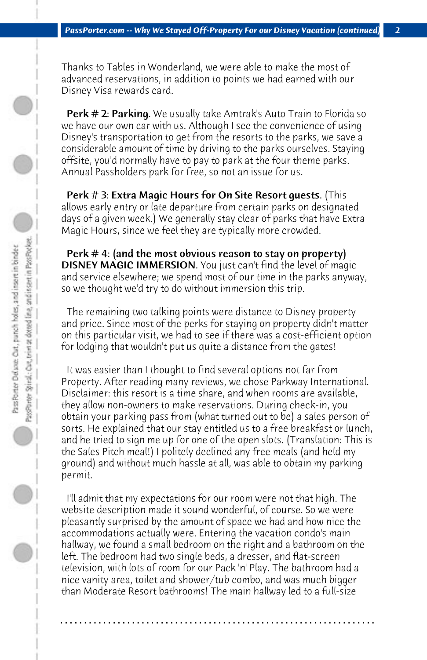Thanks to Tables in Wonderland, we were able to make the most of advanced reservations, in addition to points we had earned with our Disney Visa rewards card.

**Perk # 2: Parking.** We usually take Amtrak's Auto Train to Florida so we have our own car with us. Although I see the convenience of using Disney's transportation to get from the resorts to the parks, we save a considerable amount of time by driving to the parks ourselves. Staying offsite, you'd normally have to pay to park at the four theme parks. Annual Passholders park for free, so not an issue for us.

Perk # 3: Extra Magic Hours for On Site Resort quests. (This allows early entry or late departure from certain parks on designated days of a given week.) We generally stay clear of parks that have Extra Magic Hours, since we feel they are typically more crowded.

Perk  $# 4$ : (and the most obvious reason to stay on property) DISNEY MAGIC IMMERSION. You just can't find the level of magic and service elsewhere; we spend most of our time in the parks anyway, so we thought we'd try to do without immersion this trip.

 The remaining two talking points were distance to Disney property and price. Since most of the perks for staying on property didn't matter on this particular visit, we had to see if there was a cost-efficient option for lodging that wouldn't put us quite a distance from the gates!

 It was easier than I thought to find several options not far from Property. After reading many reviews, we chose Parkway International. Disclaimer: this resort is a time share, and when rooms are available, they allow non-owners to make reservations. During check-in, you obtain your parking pass from (what turned out to be) a sales person of sorts. He explained that our stay entitled us to a free breakfast or lunch, and he tried to sign me up for one of the open slots. (Translation: This is the Sales Pitch meal!) I politely declined any free meals (and held my ground) and without much hassle at all, was able to obtain my parking permit.

 I'll admit that my expectations for our room were not that high. The website description made it sound wonderful, of course. So we were pleasantly surprised by the amount of space we had and how nice the accommodations actually were. Entering the vacation condo's main hallway, we found a small bedroom on the right and a bathroom on the left. The bedroom had two single beds, a dresser, and flat-screen television, with lots of room for our Pack 'n' Play. The bathroom had a nice vanity area, toilet and shower/tub combo, and was much bigger than Moderate Resort bathrooms! The main hallway led to a full-size

**. . . . . . . . . . . . . . . . . . . . . . . . . . . . . . . . . . . . . . . . . . . . . . . . . . . . . . . . . . . . . . . . . .**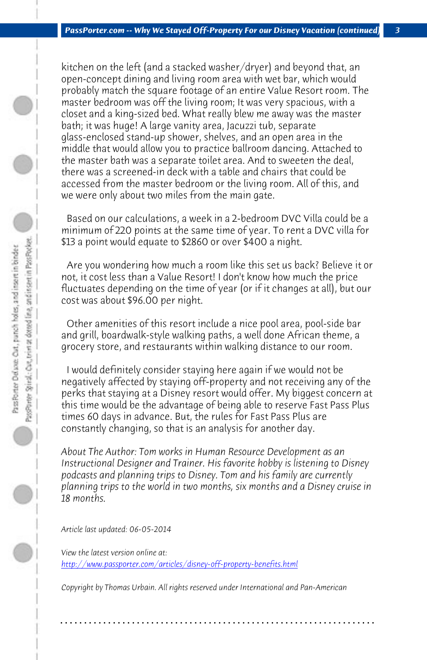*PassPorter.com -- Why We Stayed Off-Property For our Disney Vacation (continued) 3*

kitchen on the left (and a stacked washer/dryer) and beyond that, an open-concept dining and living room area with wet bar, which would probably match the square footage of an entire Value Resort room. The master bedroom was off the living room; It was very spacious, with a closet and a king-sized bed. What really blew me away was the master bath; it was huge! A large vanity area, Jacuzzi tub, separate glass-enclosed stand-up shower, shelves, and an open area in the middle that would allow you to practice ballroom dancing. Attached to the master bath was a separate toilet area. And to sweeten the deal, there was a screened-in deck with a table and chairs that could be accessed from the master bedroom or the living room. All of this, and we were only about two miles from the main gate.

 Based on our calculations, a week in a 2-bedroom DVC Villa could be a minimum of 220 points at the same time of year. To rent a DVC villa for \$13 a point would equate to \$2860 or over \$400 a night.

 Are you wondering how much a room like this set us back? Believe it or not, it cost less than a Value Resort! I don't know how much the price fluctuates depending on the time of year (or if it changes at all), but our cost was about \$96.00 per night.

 Other amenities of this resort include a nice pool area, pool-side bar and grill, boardwalk-style walking paths, a well done African theme, a grocery store, and restaurants within walking distance to our room.

 [I would definitely consider staying here again if we wo](http://www.passporter.com/articles/disney-off-property-benefits.php)uld not be negatively affected by staying off-property and not receiving any of the perks that staying at a Disney resort would offer. My biggest concern at this time would be the advantage of being able to reserve Fast Pass Plus times 60 days in advance. But, the rules for Fast Pass Plus are constantly changing, so that is an analysis for another day.

*About The Author: Tom works in Human Resource Development as an Instructional Designer and Trainer. His favorite hobby is listening to Disney podcasts and planning trips to Disney. Tom and his family are currently planning trips to the world in two months, six months and a Disney cruise in 18 months.*

*Article last updated: 06-05-2014*

*View the latest version online at: http://www.passporter.com/articles/disney-off-property-benefits.html*

*Copyright by Thomas Urbain. All rights reserved under International and Pan-American*

**. . . . . . . . . . . . . . . . . . . . . . . . . . . . . . . . . . . . . . . . . . . . . . . . . . . . . . . . . . . . . . . . . .**